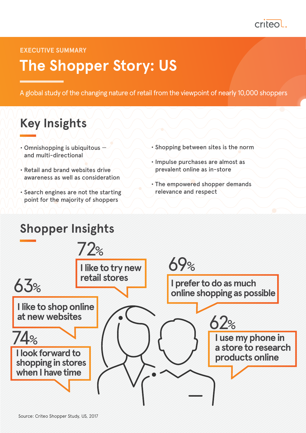

**EXECUTIVE SUMMARY**

# **The Shopper Story: US**

A global study of the changing nature of retail from the viewpoint of nearly 10,000 shoppers

## **Key Insights**

- Omnishopping is ubiquitous  $\rightarrow$ and multi-directional
- Retail and brand websites drive awareness as well as consideration
- Search engines are not the starting point for the majority of shoppers
- Shopping between sites is the norm
- Impulse purchases are almost as prevalent online as in-store
- The empowered shopper demands relevance and respect

#### **Shopper Insights I like to try new retail stores I like to shop online at new websites I use my phone in a store to research products online I prefer to do as much online shopping as possible I look forward to shopping in stores when I have time** 74% 72% 63% 69%  $62%$